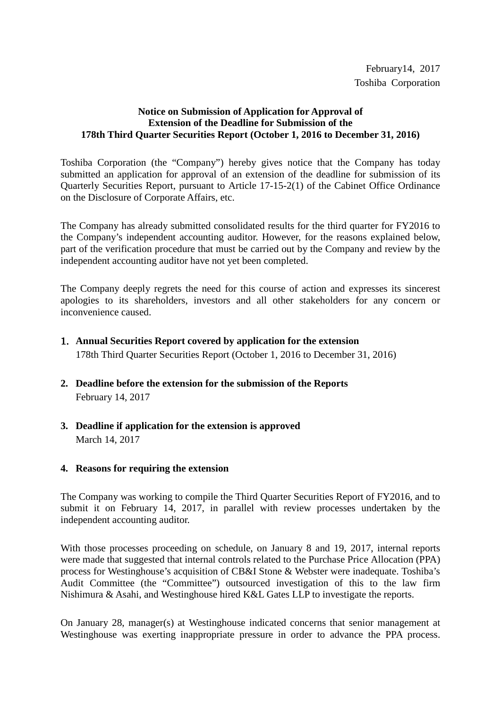February14, 2017 Toshiba Corporation

## **Notice on Submission of Application for Approval of Extension of the Deadline for Submission of the 178th Third Quarter Securities Report (October 1, 2016 to December 31, 2016)**

Toshiba Corporation (the "Company") hereby gives notice that the Company has today submitted an application for approval of an extension of the deadline for submission of its Quarterly Securities Report, pursuant to Article 17-15-2(1) of the Cabinet Office Ordinance on the Disclosure of Corporate Affairs, etc.

The Company has already submitted consolidated results for the third quarter for FY2016 to the Company's independent accounting auditor. However, for the reasons explained below, part of the verification procedure that must be carried out by the Company and review by the independent accounting auditor have not yet been completed.

The Company deeply regrets the need for this course of action and expresses its sincerest apologies to its shareholders, investors and all other stakeholders for any concern or inconvenience caused.

1. **Annual Securities Report covered by application for the extension**

178th Third Quarter Securities Report (October 1, 2016 to December 31, 2016)

- **2. Deadline before the extension for the submission of the Reports** February 14, 2017
- **3. Deadline if application for the extension is approved** March 14, 2017

## **4. Reasons for requiring the extension**

The Company was working to compile the Third Quarter Securities Report of FY2016, and to submit it on February 14, 2017, in parallel with review processes undertaken by the independent accounting auditor.

With those processes proceeding on schedule, on January 8 and 19, 2017, internal reports were made that suggested that internal controls related to the Purchase Price Allocation (PPA) process for Westinghouse's acquisition of CB&I Stone & Webster were inadequate. Toshiba's Audit Committee (the "Committee") outsourced investigation of this to the law firm Nishimura & Asahi, and Westinghouse hired K&L Gates LLP to investigate the reports.

On January 28, manager(s) at Westinghouse indicated concerns that senior management at Westinghouse was exerting inappropriate pressure in order to advance the PPA process.